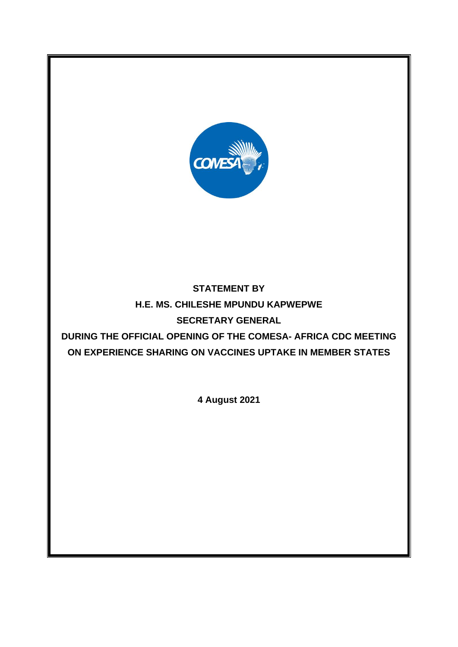

# **STATEMENT BY H.E. MS. CHILESHE MPUNDU KAPWEPWE SECRETARY GENERAL**

**DURING THE OFFICIAL OPENING OF THE COMESA- AFRICA CDC MEETING ON EXPERIENCE SHARING ON VACCINES UPTAKE IN MEMBER STATES**

**4 August 2021**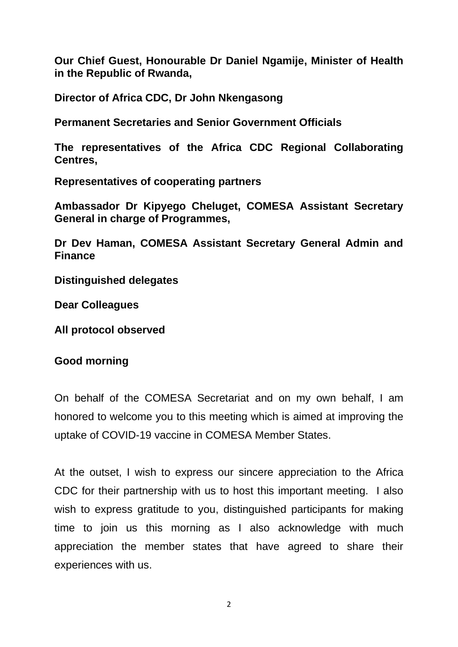**Our Chief Guest, Honourable Dr Daniel Ngamije, Minister of Health in the Republic of Rwanda,** 

**Director of Africa CDC, Dr John Nkengasong**

**Permanent Secretaries and Senior Government Officials**

**The representatives of the Africa CDC Regional Collaborating Centres,** 

**Representatives of cooperating partners**

**Ambassador Dr Kipyego Cheluget, COMESA Assistant Secretary General in charge of Programmes,** 

**Dr Dev Haman, COMESA Assistant Secretary General Admin and Finance**

**Distinguished delegates**

**Dear Colleagues**

**All protocol observed**

#### **Good morning**

On behalf of the COMESA Secretariat and on my own behalf, I am honored to welcome you to this meeting which is aimed at improving the uptake of COVID-19 vaccine in COMESA Member States.

At the outset, I wish to express our sincere appreciation to the Africa CDC for their partnership with us to host this important meeting. I also wish to express gratitude to you, distinguished participants for making time to join us this morning as I also acknowledge with much appreciation the member states that have agreed to share their experiences with us.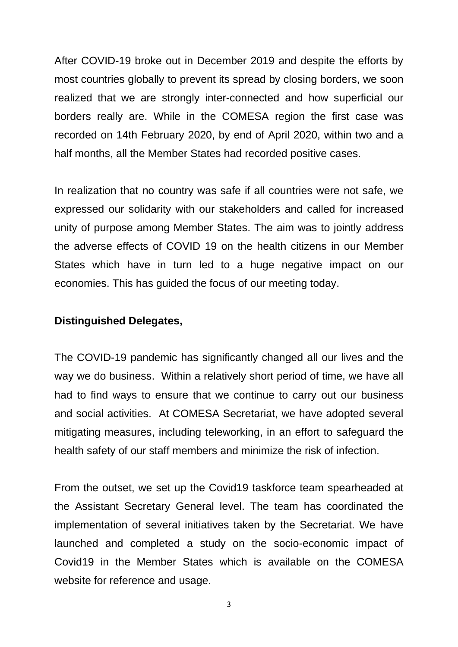After COVID-19 broke out in December 2019 and despite the efforts by most countries globally to prevent its spread by closing borders, we soon realized that we are strongly inter-connected and how superficial our borders really are. While in the COMESA region the first case was recorded on 14th February 2020, by end of April 2020, within two and a half months, all the Member States had recorded positive cases.

In realization that no country was safe if all countries were not safe, we expressed our solidarity with our stakeholders and called for increased unity of purpose among Member States. The aim was to jointly address the adverse effects of COVID 19 on the health citizens in our Member States which have in turn led to a huge negative impact on our economies. This has guided the focus of our meeting today.

#### **Distinguished Delegates,**

The COVID-19 pandemic has significantly changed all our lives and the way we do business. Within a relatively short period of time, we have all had to find ways to ensure that we continue to carry out our business and social activities. At COMESA Secretariat, we have adopted several mitigating measures, including teleworking, in an effort to safeguard the health safety of our staff members and minimize the risk of infection.

From the outset, we set up the Covid19 taskforce team spearheaded at the Assistant Secretary General level. The team has coordinated the implementation of several initiatives taken by the Secretariat. We have launched and completed a study on the socio-economic impact of Covid19 in the Member States which is available on the COMESA website for reference and usage.

3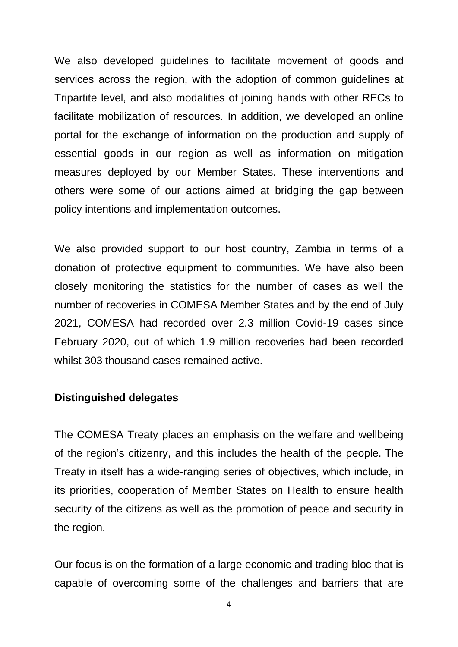We also developed guidelines to facilitate movement of goods and services across the region, with the adoption of common guidelines at Tripartite level, and also modalities of joining hands with other RECs to facilitate mobilization of resources. In addition, we developed an online portal for the exchange of information on the production and supply of essential goods in our region as well as information on mitigation measures deployed by our Member States. These interventions and others were some of our actions aimed at bridging the gap between policy intentions and implementation outcomes.

We also provided support to our host country, Zambia in terms of a donation of protective equipment to communities. We have also been closely monitoring the statistics for the number of cases as well the number of recoveries in COMESA Member States and by the end of July 2021, COMESA had recorded over 2.3 million Covid-19 cases since February 2020, out of which 1.9 million recoveries had been recorded whilst 303 thousand cases remained active.

#### **Distinguished delegates**

The COMESA Treaty places an emphasis on the welfare and wellbeing of the region's citizenry, and this includes the health of the people. The Treaty in itself has a wide-ranging series of objectives, which include, in its priorities, cooperation of Member States on Health to ensure health security of the citizens as well as the promotion of peace and security in the region.

Our focus is on the formation of a large economic and trading bloc that is capable of overcoming some of the challenges and barriers that are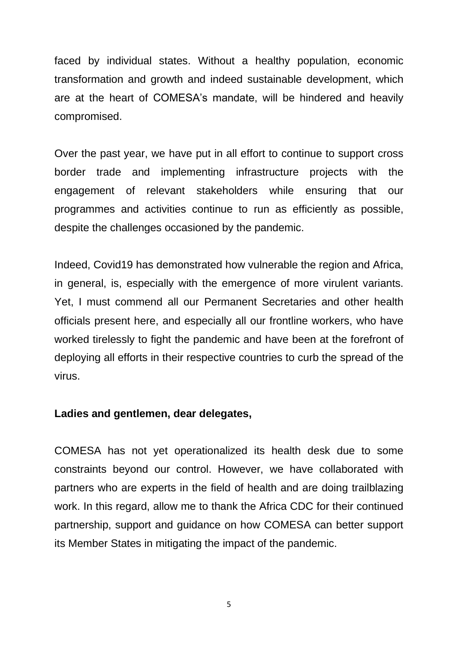faced by individual states. Without a healthy population, economic transformation and growth and indeed sustainable development, which are at the heart of COMESA's mandate, will be hindered and heavily compromised.

Over the past year, we have put in all effort to continue to support cross border trade and implementing infrastructure projects with the engagement of relevant stakeholders while ensuring that our programmes and activities continue to run as efficiently as possible, despite the challenges occasioned by the pandemic.

Indeed, Covid19 has demonstrated how vulnerable the region and Africa, in general, is, especially with the emergence of more virulent variants. Yet, I must commend all our Permanent Secretaries and other health officials present here, and especially all our frontline workers, who have worked tirelessly to fight the pandemic and have been at the forefront of deploying all efforts in their respective countries to curb the spread of the virus.

#### **Ladies and gentlemen, dear delegates,**

COMESA has not yet operationalized its health desk due to some constraints beyond our control. However, we have collaborated with partners who are experts in the field of health and are doing trailblazing work. In this regard, allow me to thank the Africa CDC for their continued partnership, support and guidance on how COMESA can better support its Member States in mitigating the impact of the pandemic.

5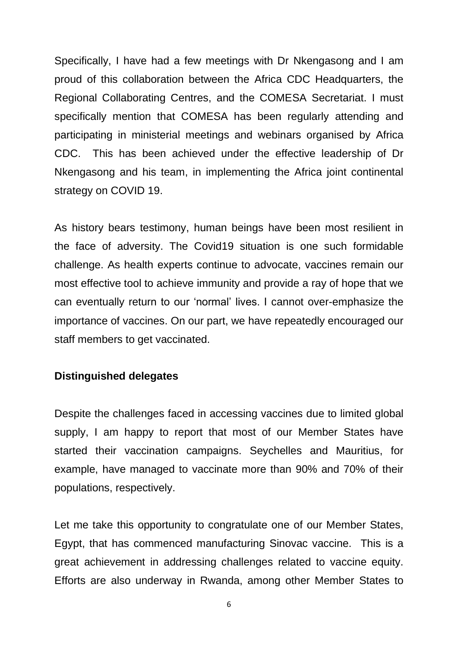Specifically, I have had a few meetings with Dr Nkengasong and I am proud of this collaboration between the Africa CDC Headquarters, the Regional Collaborating Centres, and the COMESA Secretariat. I must specifically mention that COMESA has been regularly attending and participating in ministerial meetings and webinars organised by Africa CDC. This has been achieved under the effective leadership of Dr Nkengasong and his team, in implementing the Africa joint continental strategy on COVID 19.

As history bears testimony, human beings have been most resilient in the face of adversity. The Covid19 situation is one such formidable challenge. As health experts continue to advocate, vaccines remain our most effective tool to achieve immunity and provide a ray of hope that we can eventually return to our 'normal' lives. I cannot over-emphasize the importance of vaccines. On our part, we have repeatedly encouraged our staff members to get vaccinated.

### **Distinguished delegates**

Despite the challenges faced in accessing vaccines due to limited global supply, I am happy to report that most of our Member States have started their vaccination campaigns. Seychelles and Mauritius, for example, have managed to vaccinate more than 90% and 70% of their populations, respectively.

Let me take this opportunity to congratulate one of our Member States, Egypt, that has commenced manufacturing Sinovac vaccine. This is a great achievement in addressing challenges related to vaccine equity. Efforts are also underway in Rwanda, among other Member States to

6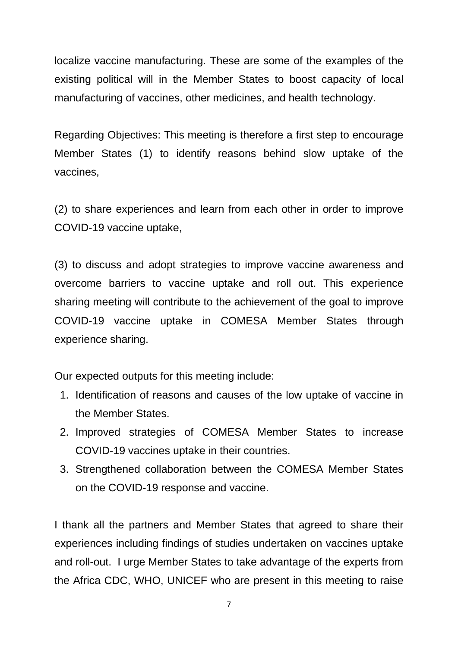localize vaccine manufacturing. These are some of the examples of the existing political will in the Member States to boost capacity of local manufacturing of vaccines, other medicines, and health technology.

Regarding Objectives: This meeting is therefore a first step to encourage Member States (1) to identify reasons behind slow uptake of the vaccines,

(2) to share experiences and learn from each other in order to improve COVID-19 vaccine uptake,

(3) to discuss and adopt strategies to improve vaccine awareness and overcome barriers to vaccine uptake and roll out. This experience sharing meeting will contribute to the achievement of the goal to improve COVID-19 vaccine uptake in COMESA Member States through experience sharing.

Our expected outputs for this meeting include:

- 1. Identification of reasons and causes of the low uptake of vaccine in the Member States.
- 2. Improved strategies of COMESA Member States to increase COVID-19 vaccines uptake in their countries.
- 3. Strengthened collaboration between the COMESA Member States on the COVID-19 response and vaccine.

I thank all the partners and Member States that agreed to share their experiences including findings of studies undertaken on vaccines uptake and roll-out. I urge Member States to take advantage of the experts from the Africa CDC, WHO, UNICEF who are present in this meeting to raise